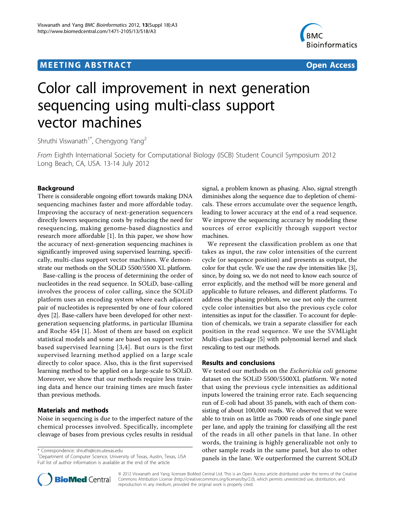# **MEETING ABSTRACT And CONSTRACT CONSTRACT** And CONSTRACT CONSTRACT CONSTRACT CONSTRACT CONSTRACT CONSTRACT CONSTR



# Color call improvement in next generation sequencing using multi-class support vector machines

Shruthi Viswanath<sup>1\*</sup>, Chengyong Yang<sup>2</sup>

From Eighth International Society for Computational Biology (ISCB) Student Council Symposium 2012 Long Beach, CA, USA. 13-14 July 2012

# Background

There is considerable ongoing effort towards making DNA sequencing machines faster and more affordable today. Improving the accuracy of next-generation sequencers directly lowers sequencing costs by reducing the need for resequencing, making genome-based diagnostics and research more affordable [[1\]](#page-1-0). In this paper, we show how the accuracy of next-generation sequencing machines is significantly improved using supervised learning, specifically, multi-class support vector machines. We demonstrate our methods on the SOLiD 5500/5500 XL platform.

Base-calling is the process of determining the order of nucleotides in the read sequence. In SOLiD, base-calling involves the process of color calling, since the SOLiD platform uses an encoding system where each adjacent pair of nucleotides is represented by one of four colored dyes [\[2](#page-1-0)]. Base-callers have been developed for other nextgeneration sequencing platforms, in particular Illumina and Roche 454 [[1\]](#page-1-0). Most of them are based on explicit statistical models and some are based on support vector based supervised learning [[3](#page-1-0),[4](#page-1-0)]. But ours is the first supervised learning method applied on a large scale directly to color space. Also, this is the first supervised learning method to be applied on a large-scale to SOLiD. Moreover, we show that our methods require less training data and hence our training times are much faster than previous methods.

# Materials and methods

Noise in sequencing is due to the imperfect nature of the chemical processes involved. Specifically, incomplete cleavage of bases from previous cycles results in residual

\* Correspondence: [shruthi@ices.utexas.edu](mailto:shruthi@ices.utexas.edu)

<sup>1</sup>Department of Computer Science, University of Texas, Austin, Texas, USA Full list of author information is available at the end of the article



We represent the classification problem as one that takes as input, the raw color intensities of the current cycle (or sequence position) and presents as output, the color for that cycle. We use the raw dye intensities like [[3](#page-1-0)], since, by doing so, we do not need to know each source of error explicitly, and the method will be more general and applicable to future releases, and different platforms. To address the phasing problem, we use not only the current cycle color intensities but also the previous cycle color intensities as input for the classifier. To account for depletion of chemicals, we train a separate classifier for each position in the read sequence. We use the SVMLight Multi-class package [[5\]](#page-1-0) with polynomial kernel and slack rescaling to test our methods.

## Results and conclusions

We tested our methods on the Escherichia coli genome dataset on the SOLiD 5500/5500XL platform. We noted that using the previous cycle intensities as additional inputs lowered the training error rate. Each sequencing run of E-coli had about 35 panels, with each of them consisting of about 100,000 reads. We observed that we were able to train on as little as 7000 reads of one single panel per lane, and apply the training for classifying all the rest of the reads in all other panels in that lane. In other words, the training is highly generalizable not only to other sample reads in the same panel, but also to other panels in the lane. We outperformed the current SOLiD



© 2012 Viswanath and Yang; licensee BioMed Central Ltd. This is an Open Access article distributed under the terms of the Creative Commons Attribution License [\(http://creativecommons.org/licenses/by/2.0](http://creativecommons.org/licenses/by/2.0)), which permits unrestricted use, distribution, and reproduction in any medium, provided the original work is properly cited.